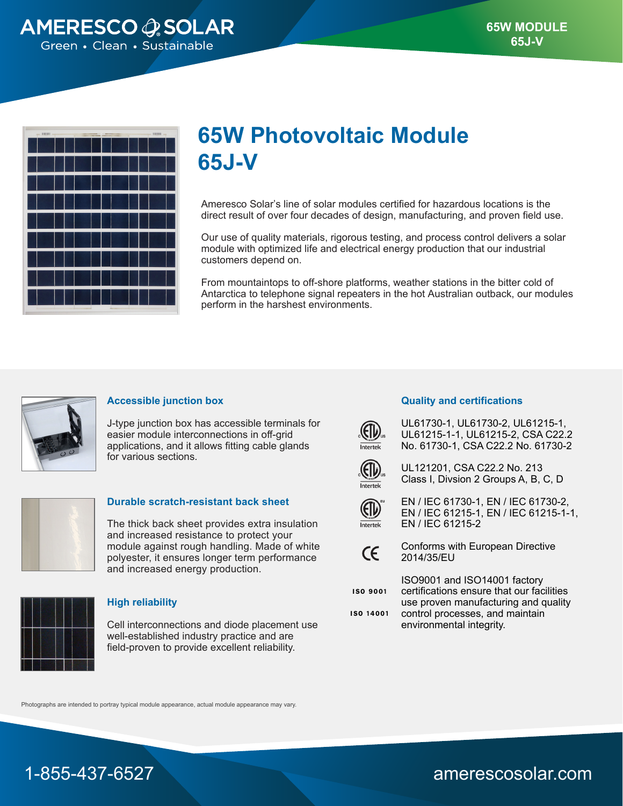

| - HIRRI -- | The contract of the contract of the contract of the contract of the contract of the contract of the contract of | - ISBN -- |
|------------|-----------------------------------------------------------------------------------------------------------------|-----------|
|            |                                                                                                                 |           |
|            |                                                                                                                 |           |
|            |                                                                                                                 |           |
|            |                                                                                                                 |           |
|            |                                                                                                                 |           |
|            |                                                                                                                 |           |
|            | l                                                                                                               |           |
|            |                                                                                                                 |           |
|            |                                                                                                                 |           |
|            |                                                                                                                 |           |

# **65W Photovoltaic Module 65J-V**

Ameresco Solar's line of solar modules certified for hazardous locations is the direct result of over four decades of design, manufacturing, and proven field use.

Our use of quality materials, rigorous testing, and process control delivers a solar module with optimized life and electrical energy production that our industrial customers depend on.

From mountaintops to off-shore platforms, weather stations in the bitter cold of Antarctica to telephone signal repeaters in the hot Australian outback, our modules perform in the harshest environments.



## **Accessible junction box**

J-type junction box has accessible terminals for easier module interconnections in off-grid applications, and it allows fitting cable glands for various sections.



#### **Durable scratch-resistant back sheet**

The thick back sheet provides extra insulation and increased resistance to protect your module against rough handling. Made of white polyester, it ensures longer term performance and increased energy production.



### **High reliability**

Cell interconnections and diode placement use well-established industry practice and are field-proven to provide excellent reliability.

#### **Quality and certifications**



UL61730-1, UL61730-2, UL61215-1, UL61215-1-1, UL61215-2, CSA C22.2 No. 61730-1, CSA C22.2 No. 61730-2



UL121201, CSA C22.2 No. 213 Class I, Divsion 2 Groups A, B, C, D



EN / IEC 61730-1, EN / IEC 61730-2, EN / IEC 61215-1, EN / IEC 61215-1-1, EN / IEC 61215-2



Conforms with European Directive 2014/35/EU



ISO9001 and ISO14001 factory certifications ensure that our facilities use proven manufacturing and quality

**ISO 14001** 

control processes, and maintain environmental integrity.

Photographs are intended to portray typical module appearance, actual module appearance may vary.



1-855-437-6527 amerescosolar.com